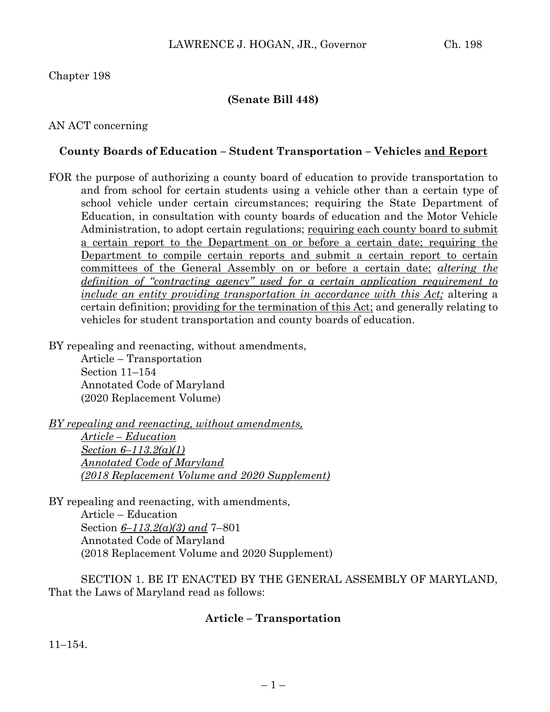## Chapter 198

## **(Senate Bill 448)**

## AN ACT concerning

## **County Boards of Education – Student Transportation – Vehicles and Report**

FOR the purpose of authorizing a county board of education to provide transportation to and from school for certain students using a vehicle other than a certain type of school vehicle under certain circumstances; requiring the State Department of Education, in consultation with county boards of education and the Motor Vehicle Administration, to adopt certain regulations; requiring each county board to submit a certain report to the Department on or before a certain date; requiring the Department to compile certain reports and submit a certain report to certain committees of the General Assembly on or before a certain date; *altering the definition of "contracting agency" used for a certain application requirement to include an entity providing transportation in accordance with this Act;* altering a certain definition; providing for the termination of this Act; and generally relating to vehicles for student transportation and county boards of education.

BY repealing and reenacting, without amendments,

Article – Transportation Section 11–154 Annotated Code of Maryland (2020 Replacement Volume)

*BY repealing and reenacting, without amendments, Article – Education Section 6–113.2(a)(1) Annotated Code of Maryland (2018 Replacement Volume and 2020 Supplement)* 

BY repealing and reenacting, with amendments, Article – Education Section *6–113.2(a)(3) and* 7–801 Annotated Code of Maryland (2018 Replacement Volume and 2020 Supplement)

SECTION 1. BE IT ENACTED BY THE GENERAL ASSEMBLY OF MARYLAND, That the Laws of Maryland read as follows:

## **Article – Transportation**

11–154.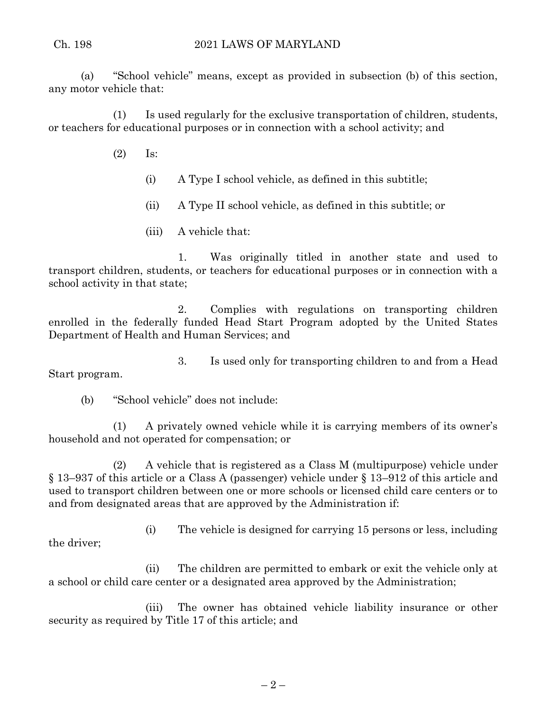(a) "School vehicle" means, except as provided in subsection (b) of this section, any motor vehicle that:

(1) Is used regularly for the exclusive transportation of children, students, or teachers for educational purposes or in connection with a school activity; and

- (2) Is:
	- (i) A Type I school vehicle, as defined in this subtitle;
	- (ii) A Type II school vehicle, as defined in this subtitle; or
	- (iii) A vehicle that:

1. Was originally titled in another state and used to transport children, students, or teachers for educational purposes or in connection with a school activity in that state;

2. Complies with regulations on transporting children enrolled in the federally funded Head Start Program adopted by the United States Department of Health and Human Services; and

3. Is used only for transporting children to and from a Head Start program.

(b) "School vehicle" does not include:

(1) A privately owned vehicle while it is carrying members of its owner's household and not operated for compensation; or

(2) A vehicle that is registered as a Class M (multipurpose) vehicle under § 13–937 of this article or a Class A (passenger) vehicle under § 13–912 of this article and used to transport children between one or more schools or licensed child care centers or to and from designated areas that are approved by the Administration if:

(i) The vehicle is designed for carrying 15 persons or less, including the driver;

(ii) The children are permitted to embark or exit the vehicle only at a school or child care center or a designated area approved by the Administration;

(iii) The owner has obtained vehicle liability insurance or other security as required by Title 17 of this article; and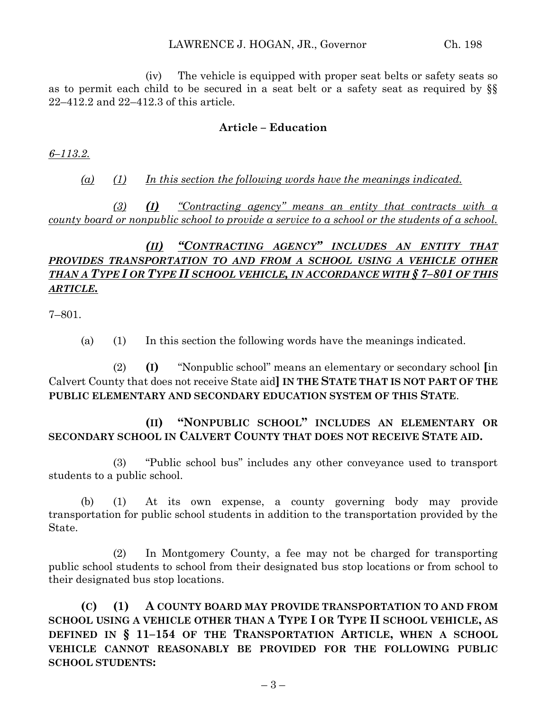(iv) The vehicle is equipped with proper seat belts or safety seats so as to permit each child to be secured in a seat belt or a safety seat as required by §§ 22–412.2 and 22–412.3 of this article.

## **Article – Education**

*6–113.2.*

*(a) (1) In this section the following words have the meanings indicated.*

*(3) (I) "Contracting agency" means an entity that contracts with a county board or nonpublic school to provide a service to a school or the students of a school.*

# *(II) "CONTRACTING AGENCY" INCLUDES AN ENTITY THAT PROVIDES TRANSPORTATION TO AND FROM A SCHOOL USING A VEHICLE OTHER THAN A TYPE I OR TYPE II SCHOOL VEHICLE, IN ACCORDANCE WITH § 7–801 OF THIS ARTICLE.*

7–801.

(a) (1) In this section the following words have the meanings indicated.

(2) **(I)** "Nonpublic school" means an elementary or secondary school **[**in Calvert County that does not receive State aid**] IN THE STATE THAT IS NOT PART OF THE PUBLIC ELEMENTARY AND SECONDARY EDUCATION SYSTEM OF THIS STATE**.

**(II) "NONPUBLIC SCHOOL" INCLUDES AN ELEMENTARY OR SECONDARY SCHOOL IN CALVERT COUNTY THAT DOES NOT RECEIVE STATE AID.**

(3) "Public school bus" includes any other conveyance used to transport students to a public school.

(b) (1) At its own expense, a county governing body may provide transportation for public school students in addition to the transportation provided by the State.

(2) In Montgomery County, a fee may not be charged for transporting public school students to school from their designated bus stop locations or from school to their designated bus stop locations.

**(C) (1) A COUNTY BOARD MAY PROVIDE TRANSPORTATION TO AND FROM SCHOOL USING A VEHICLE OTHER THAN A TYPE I OR TYPE II SCHOOL VEHICLE, AS DEFINED IN § 11–154 OF THE TRANSPORTATION ARTICLE, WHEN A SCHOOL VEHICLE CANNOT REASONABLY BE PROVIDED FOR THE FOLLOWING PUBLIC SCHOOL STUDENTS:**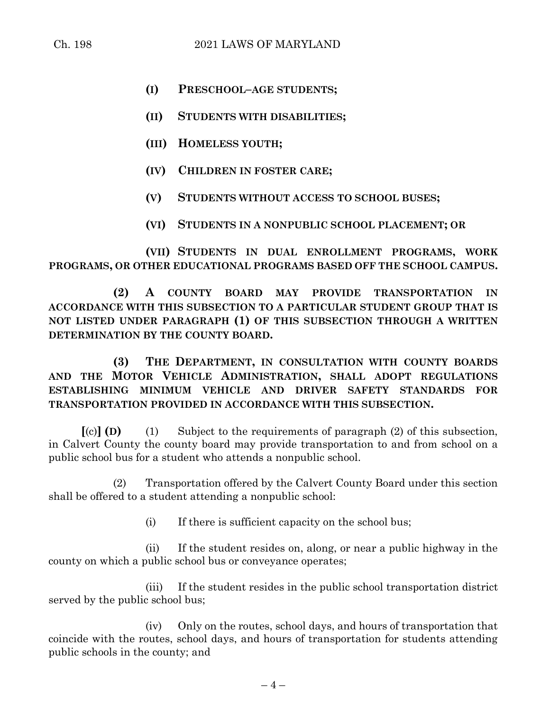- **(I) PRESCHOOL–AGE STUDENTS;**
- **(II) STUDENTS WITH DISABILITIES;**
- **(III) HOMELESS YOUTH;**
- **(IV) CHILDREN IN FOSTER CARE;**
- **(V) STUDENTS WITHOUT ACCESS TO SCHOOL BUSES;**
- **(VI) STUDENTS IN A NONPUBLIC SCHOOL PLACEMENT; OR**

**(VII) STUDENTS IN DUAL ENROLLMENT PROGRAMS, WORK PROGRAMS, OR OTHER EDUCATIONAL PROGRAMS BASED OFF THE SCHOOL CAMPUS.**

**(2) A COUNTY BOARD MAY PROVIDE TRANSPORTATION IN ACCORDANCE WITH THIS SUBSECTION TO A PARTICULAR STUDENT GROUP THAT IS NOT LISTED UNDER PARAGRAPH (1) OF THIS SUBSECTION THROUGH A WRITTEN DETERMINATION BY THE COUNTY BOARD.**

**(3) THE DEPARTMENT, IN CONSULTATION WITH COUNTY BOARDS AND THE MOTOR VEHICLE ADMINISTRATION, SHALL ADOPT REGULATIONS ESTABLISHING MINIMUM VEHICLE AND DRIVER SAFETY STANDARDS FOR TRANSPORTATION PROVIDED IN ACCORDANCE WITH THIS SUBSECTION.**

**[**(c)**] (D)** (1) Subject to the requirements of paragraph (2) of this subsection, in Calvert County the county board may provide transportation to and from school on a public school bus for a student who attends a nonpublic school.

(2) Transportation offered by the Calvert County Board under this section shall be offered to a student attending a nonpublic school:

(i) If there is sufficient capacity on the school bus;

(ii) If the student resides on, along, or near a public highway in the county on which a public school bus or conveyance operates;

(iii) If the student resides in the public school transportation district served by the public school bus;

(iv) Only on the routes, school days, and hours of transportation that coincide with the routes, school days, and hours of transportation for students attending public schools in the county; and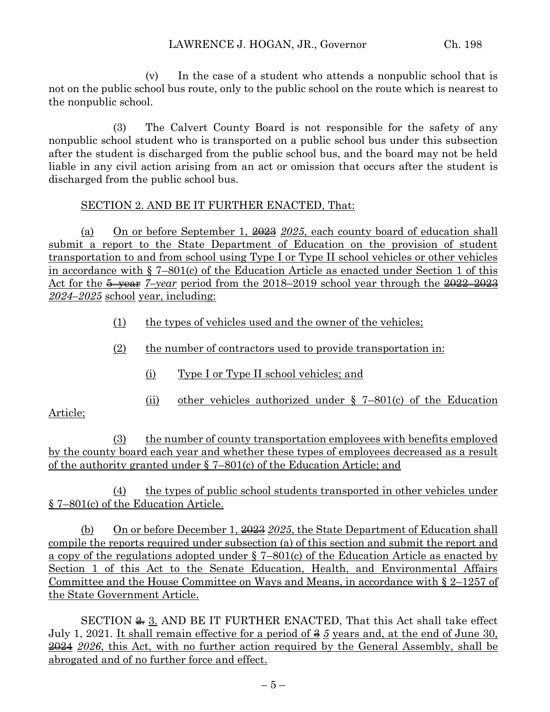(v) In the case of a student who attends a nonpublic school that is not on the public school bus route, only to the public school on the route which is nearest to the nonpublic school.

(3) The Calvert County Board is not responsible for the safety of any nonpublic school student who is transported on a public school bus under this subsection after the student is discharged from the public school bus, and the board may not be held liable in any civil action arising from an act or omission that occurs after the student is discharged from the public school bus.

## SECTION 2. AND BE IT FURTHER ENACTED, That:

(a) On or before September 1, 2023 *2025*, each county board of education shall submit a report to the State Department of Education on the provision of student transportation to and from school using Type I or Type II school vehicles or other vehicles in accordance with § 7–801(c) of the Education Article as enacted under Section 1 of this Act for the 5–year *7–year* period from the 2018–2019 school year through the 2022–2023 *2024–2025* school year, including:

- (1) the types of vehicles used and the owner of the vehicles;
- (2) the number of contractors used to provide transportation in:
	- (i) Type I or Type II school vehicles; and
	- (ii) other vehicles authorized under § 7–801(c) of the Education

## Article;

(3) the number of county transportation employees with benefits employed by the county board each year and whether these types of employees decreased as a result of the authority granted under § 7–801(c) of the Education Article; and

(4) the types of public school students transported in other vehicles under § 7–801(c) of the Education Article.

(b) On or before December 1, 2023 *2025*, the State Department of Education shall compile the reports required under subsection (a) of this section and submit the report and a copy of the regulations adopted under § 7–801(c) of the Education Article as enacted by Section 1 of this Act to the Senate Education, Health, and Environmental Affairs Committee and the House Committee on Ways and Means, in accordance with § 2–1257 of the State Government Article.

SECTION  $\cong$  3. AND BE IT FURTHER ENACTED, That this Act shall take effect July 1, 2021. It shall remain effective for a period of 3 *5* years and, at the end of June 30, 2024 *2026*, this Act, with no further action required by the General Assembly, shall be abrogated and of no further force and effect.